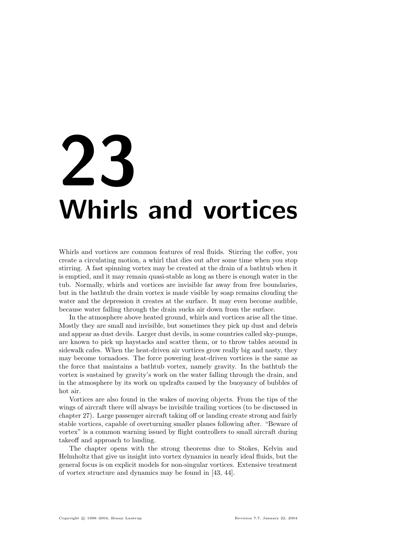# 23 Whirls and vortices

Whirls and vortices are common features of real fluids. Stirring the coffee, you create a circulating motion, a whirl that dies out after some time when you stop stirring. A fast spinning vortex may be created at the drain of a bathtub when it is emptied, and it may remain quasi-stable as long as there is enough water in the tub. Normally, whirls and vortices are invisible far away from free boundaries, but in the bathtub the drain vortex is made visible by soap remains clouding the water and the depression it creates at the surface. It may even become audible, because water falling through the drain sucks air down from the surface.

In the atmosphere above heated ground, whirls and vortices arise all the time. Mostly they are small and invisible, but sometimes they pick up dust and debris and appear as dust devils. Larger dust devils, in some countries called sky-pumps, are known to pick up haystacks and scatter them, or to throw tables around in sidewalk cafes. When the heat-driven air vortices grow really big and nasty, they may become tornadoes. The force powering heat-driven vortices is the same as the force that maintains a bathtub vortex, namely gravity. In the bathtub the vortex is sustained by gravity's work on the water falling through the drain, and in the atmosphere by its work on updrafts caused by the buoyancy of bubbles of hot air.

Vortices are also found in the wakes of moving objects. From the tips of the wings of aircraft there will always be invisible trailing vortices (to be discussed in chapter 27). Large passenger aircraft taking off or landing create strong and fairly stable vortices, capable of overturning smaller planes following after. "Beware of vortex" is a common warning issued by flight controllers to small aircraft during takeoff and approach to landing.

The chapter opens with the strong theorems due to Stokes, Kelvin and Helmholtz that give us insight into vortex dynamics in nearly ideal fluids, but the general focus is on explicit models for non-singular vortices. Extensive treatment of vortex structure and dynamics may be found in [43, 44].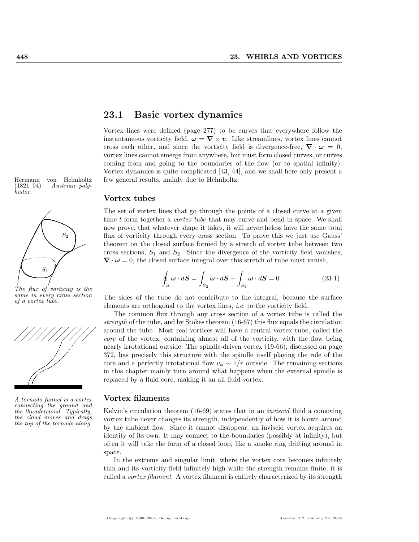$(1821–94)$ . Austrian polyhistor.



The flux of vorticity is the same in every cross section of a vortex tube.



A tornado funnel is a vortex connecting the ground and the thundercloud. Typically, the cloud moves and drags the top of the tornado along.

## 23.1 Basic vortex dynamics

Vortex lines were defined (page 277) to be curves that everywhere follow the instantaneous vorticity field,  $\omega = \nabla \times v$ . Like streamlines, vortex lines cannot cross each other, and since the vorticity field is divergence-free,  $\nabla \cdot \omega = 0$ , vortex lines cannot emerge from anywhere, but must form closed curves, or curves coming from and going to the boundaries of the flow (or to spatial infinity). Vortex dynamics is quite complicated [43, 44], and we shall here only present a Hermann von Helmholtz few general results, mainly due to Helmholtz.

#### Vortex tubes

The set of vortex lines that go through the points of a closed curve at a given time t form together a *vortex tube* that may curve and bend in space. We shall now prove, that whatever shape it takes, it will nevertheless have the same total flux of vorticity through every cross section. To prove this we just use Gauss' theorem on the closed surface formed by a stretch of vortex tube between two cross sections,  $S_1$  and  $S_2$ . Since the divergence of the vorticity field vanishes,  $\nabla \cdot \omega = 0$ , the closed surface integral over this stretch of tube must vanish,

$$
\oint_{S} \omega \cdot dS = \int_{S_2} \omega \cdot dS - \int_{S_1} \omega \cdot dS = 0.
$$
\n(23-1)

The sides of the tube do not contribute to the integral, because the surface elements are orthogonal to the vortex lines, i.e. to the vorticity field.

The common flux through any cross section of a vortex tube is called the strength of the tube, and by Stokes theorem (16-67) this flux equals the circulation around the tube. Most real vortices will have a central vortex tube, called the core of the vortex, containing almost all of the vorticity, with the flow being nearly irrotational outside. The spindle-driven vortex (19-66), discussed on page 372, has precisely this structure with the spindle itself playing the role of the core and a perfectly irrotational flow  $v_{\phi} \sim 1/r$  outside. The remaining sections in this chapter mainly turn around what happens when the external spindle is replaced by a fluid core, making it an all fluid vortex.

#### Vortex filaments

Kelvin's circulation theorem (16-69) states that in an inviscid fluid a comoving vortex tube never changes its strength, independently of how it is blown around by the ambient flow. Since it cannot disappear, an inviscid vortex acquires an identity of its own. It may connect to the boundaries (possibly at infinity), but often it will take the form of a closed loop, like a smoke ring drifting around in space.

In the extreme and singular limit, where the vortex core becomes infinitely thin and its vorticity field infinitely high while the strength remains finite, it is called a vortex filament. A vortex filament is entirely characterized by its strength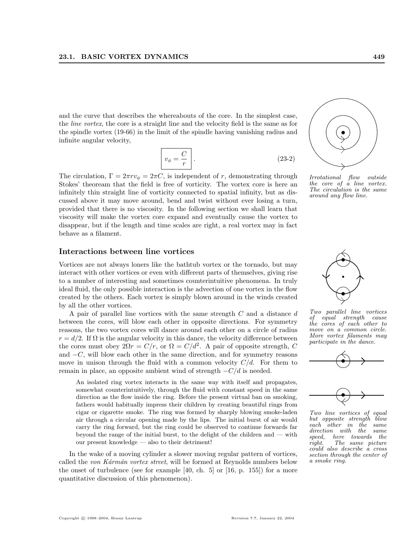and the curve that describes the whereabouts of the core. In the simplest case, the line vortex, the core is a straight line and the velocity field is the same as for the spindle vortex (19-66) in the limit of the spindle having vanishing radius and infinite angular velocity,

$$
v_{\phi} = \frac{C}{r} \tag{23-2}
$$

The circulation,  $\Gamma = 2\pi r v_{\phi} = 2\pi C$ , is independent of r, demonstrating through Stokes' theoream that the field is free of vorticity. The vortex core is here an infinitely thin straight line of vorticity connected to spatial infinity, but as discussed above it may move around, bend and twist without ever losing a turn, provided that there is no viscosity. In the following section we shall learn that viscosity will make the vortex core expand and eventually cause the vortex to disappear, but if the length and time scales are right, a real vortex may in fact behave as a filament.

### Interactions between line vortices

Vortices are not always loners like the bathtub vortex or the tornado, but may interact with other vortices or even with different parts of themselves, giving rise to a number of interesting and sometimes counterintuitive phenomena. In truly ideal fluid, the only possible interaction is the advection of one vortex in the flow created by the others. Each vortex is simply blown around in the winds created by all the other vortices.

A pair of parallel line vortices with the same strength C and a distance d between the cores, will blow each other in opposite directions. For symmetry reasons, the two vortex cores will dance around each other on a circle of radius  $r = d/2$ . If  $\Omega$  is the angular velocity in this dance, the velocity difference between the cores must obey  $2\Omega r = C/r$ , or  $\Omega = C/d^2$ . A pair of opposite strength, C and  $-C$ , will blow each other in the same direction, and for symmetry reasons move in unison through the fluid with a common velocity  $C/d$ . For them to remain in place, an opposite ambient wind of strength  $-C/d$  is needed.

An isolated ring vortex interacts in the same way with itself and propagates, somewhat counterintuitively, through the fluid with constant speed in the same direction as the flow inside the ring. Before the present virtual ban on smoking, fathers would habitually impress their children by creating beautiful rings from cigar or cigarette smoke. The ring was formed by sharply blowing smoke-laden air through a circular opening made by the lips. The initial burst of air would carry the ring forward, but the ring could be observed to continue forwards far beyond the range of the initial burst, to the delight of the children and — with our present knowledge — also to their detriment!

In the wake of a moving cylinder a slower moving regular pattern of vortices, called the von Kármán vortex street, will be formed at Reynolds numbers below the onset of turbulence (see for example [40, ch. 5] or [16, p. 155]) for a more quantitative discussion of this phenomenon).



Irrotational flow outside the core of a line vortex. The circulation is the same around any flow line.



Two parallel line vortices of equal strength cause the cores of each other to move on a common circle. More vortex filaments may participate in the dance.





Two line vortices of equal but opposite strength blow each other in the same direction with the same speed, here towards the<br>right. The same picture The same picture could also describe a cross section through the center of a smoke ring.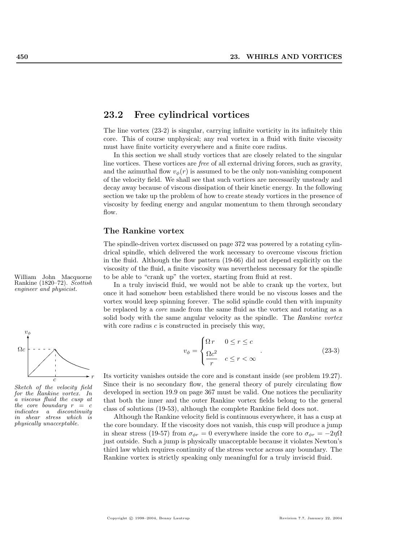## 23.2 Free cylindrical vortices

The line vortex (23-2) is singular, carrying infinite vorticity in its infinitely thin core. This of course unphysical; any real vortex in a fluid with finite viscosity must have finite vorticity everywhere and a finite core radius.

In this section we shall study vortices that are closely related to the singular line vortices. These vortices are free of all external driving forces, such as gravity, and the azimuthal flow  $v_{\phi}(r)$  is assumed to be the only non-vanishing component of the velocity field. We shall see that such vortices are necessarily unsteady and decay away because of viscous dissipation of their kinetic energy. In the following section we take up the problem of how to create steady vortices in the presence of viscosity by feeding energy and angular momentum to them through secondary flow.

#### The Rankine vortex

The spindle-driven vortex discussed on page 372 was powered by a rotating cylindrical spindle, which delivered the work necessary to overcome viscous friction in the fluid. Although the flow pattern (19-66) did not depend explicitly on the viscosity of the fluid, a finite viscosity was nevertheless necessary for the spindle William John Macquorne to be able to "crank up" the vortex, starting from fluid at rest.

> In a truly inviscid fluid, we would not be able to crank up the vortex, but once it had somehow been established there would be no viscous losses and the vortex would keep spinning forever. The solid spindle could then with impunity be replaced by a core made from the same fluid as the vortex and rotating as a solid body with the same angular velocity as the spindle. The Rankine vortex with core radius  $c$  is constructed in precisely this way,

$$
v_{\phi} = \begin{cases} \Omega r & 0 \le r \le c \\ \frac{\Omega c^2}{r} & c \le r < \infty \end{cases}
$$
 (23-3)

Its vorticity vanishes outside the core and is constant inside (see problem 19.27). Since their is no secondary flow, the general theory of purely circulating flow developed in section 19.9 on page 367 must be valid. One notices the peculiarity that both the inner and the outer Rankine vortex fields belong to the general class of solutions (19-53), although the complete Rankine field does not.

Although the Rankine velocity field is continuous everywhere, it has a cusp at the core boundary. If the viscosity does not vanish, this cusp will produce a jump in shear stress (19-57) from  $\sigma_{\phi r} = 0$  everywhere inside the core to  $\sigma_{\phi r} = -2\eta\Omega$ just outside. Such a jump is physically unacceptable because it violates Newton's third law which requires continuity of the stress vector across any boundary. The Rankine vortex is strictly speaking only meaningful for a truly inviscid fluid.

Rankine (1820–72). Scottish<br>engineer and physicist.



Sketch of the velocity field for the Rankine vortex. In a viscous fluid the cusp at the core boundary  $r = c$ <br>indicates a discontinuity a discontinuity in shear stress which is physically unacceptable.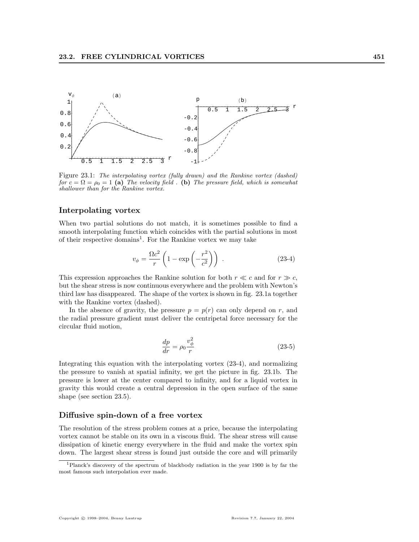

Figure 23.1: The interpolating vortex (fully drawn) and the Rankine vortex (dashed) for  $c = \Omega = \rho_0 = 1$  (a) The velocity field. (b) The pressure field, which is somewhat shallower than for the Rankine vortex.

## Interpolating vortex

When two partial solutions do not match, it is sometimes possible to find a smooth interpolating function which coincides with the partial solutions in most of their respective domains<sup>1</sup>. For the Rankine vortex we may take

$$
v_{\phi} = \frac{\Omega c^2}{r} \left( 1 - \exp\left( -\frac{r^2}{c^2} \right) \right) . \tag{23-4}
$$

This expression approaches the Rankine solution for both  $r \ll c$  and for  $r \gg c$ , but the shear stress is now continuous everywhere and the problem with Newton's third law has disappeared. The shape of the vortex is shown in fig. 23.1a together with the Rankine vortex (dashed).

In the absence of gravity, the pressure  $p = p(r)$  can only depend on r, and the radial pressure gradient must deliver the centripetal force necessary for the circular fluid motion,

$$
\frac{dp}{dr} = \rho_0 \frac{v_\phi^2}{r} \tag{23-5}
$$

Integrating this equation with the interpolating vortex (23-4), and normalizing the pressure to vanish at spatial infinity, we get the picture in fig. 23.1b. The pressure is lower at the center compared to infinity, and for a liquid vortex in gravity this would create a central depression in the open surface of the same shape (see section 23.5).

#### Diffusive spin-down of a free vortex

The resolution of the stress problem comes at a price, because the interpolating vortex cannot be stable on its own in a viscous fluid. The shear stress will cause dissipation of kinetic energy everywhere in the fluid and make the vortex spin down. The largest shear stress is found just outside the core and will primarily

<sup>1</sup>Planck's discovery of the spectrum of blackbody radiation in the year 1900 is by far the most famous such interpolation ever made.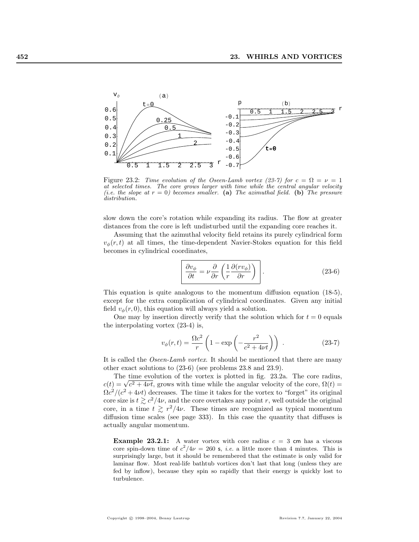

Figure 23.2: Time evolution of the Oseen-Lamb vortex (23-7) for  $c = \Omega = \nu = 1$ at selected times. The core grows larger with time while the central angular velocity (i.e. the slope at  $r = 0$ ) becomes smaller. (a) The azimuthal field. (b) The pressure distribution.

slow down the core's rotation while expanding its radius. The flow at greater distances from the core is left undisturbed until the expanding core reaches it.

Assuming that the azimuthal velocity field retains its purely cylindrical form  $v_{\phi}(r, t)$  at all times, the time-dependent Navier-Stokes equation for this field becomes in cylindrical coordinates,

$$
\frac{\partial v_{\phi}}{\partial t} = \nu \frac{\partial}{\partial r} \left( \frac{1}{r} \frac{\partial (r v_{\phi})}{\partial r} \right) .
$$
 (23-6)

This equation is quite analogous to the momentum diffusion equation (18-5), except for the extra complication of cylindrical coordinates. Given any initial field  $v_{\phi}(r, 0)$ , this equation will always yield a solution.

One may by insertion directly verify that the solution which for  $t = 0$  equals the interpolating vortex (23-4) is,

$$
v_{\phi}(r,t) = \frac{\Omega c^2}{r} \left( 1 - \exp\left( -\frac{r^2}{c^2 + 4\nu t} \right) \right) \,. \tag{23-7}
$$

It is called the *Oseen-Lamb vortex*. It should be mentioned that there are many other exact solutions to (23-6) (see problems 23.8 and 23.9).

The time evolution of the vortex is plotted in fig. 23.2a. The core radius, The time evolution of the vortex is plotted in ng. 23.2a. The core radius,<br> $c(t) = \sqrt{c^2 + 4\nu t}$ , grows with time while the angular velocity of the core,  $\Omega(t)$  $\Omega c^2/(c^2+4\nu t)$  decreases. The time it takes for the vortex to "forget" its original core size is  $t \geq c^2/4\nu$ , and the core overtakes any point r, well outside the original core, in a time  $t \geq r^2/4\nu$ . These times are recognized as typical momentum diffusion time scales (see page 333). In this case the quantity that diffuses is actually angular momentum.

**Example 23.2.1:** A water vortex with core radius  $c = 3$  cm has a viscous core spin-down time of  $c^2/4\nu = 260$  s, *i.e.* a little more than 4 minutes. This is surprisingly large, but it should be remembered that the estimate is only valid for laminar flow. Most real-life bathtub vortices don't last that long (unless they are fed by inflow), because they spin so rapidly that their energy is quickly lost to turbulence.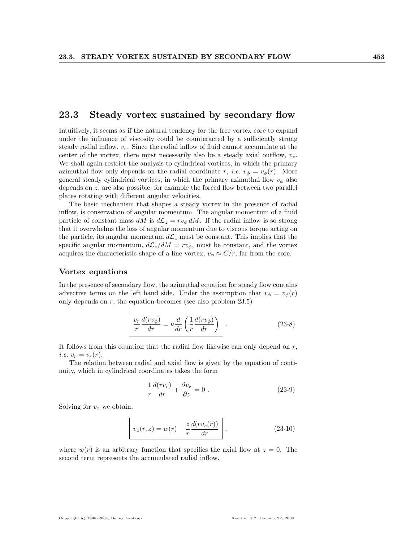## 23.3 Steady vortex sustained by secondary flow

Intuitively, it seems as if the natural tendency for the free vortex core to expand under the influence of viscosity could be counteracted by a sufficiently strong steady radial inflow,  $v_r$ . Since the radial inflow of fluid cannot accumulate at the center of the vortex, there must necessarily also be a steady axial outflow,  $v_z$ . We shall again restrict the analysis to cylindrical vortices, in which the primary azimuthal flow only depends on the radial coordinate r, *i.e.*  $v_{\phi} = v_{\phi}(r)$ . More general steady cylindrical vortices, in which the primary azimuthal flow  $v_{\phi}$  also depends on z, are also possible, for example the forced flow between two parallel plates rotating with different angular velocities.

The basic mechanism that shapes a steady vortex in the presence of radial inflow, is conservation of angular momentum. The angular momentum of a fluid particle of constant mass dM is  $d\mathcal{L}_z = rv_\phi dM$ . If the radial inflow is so strong that it overwhelms the loss of angular momentum due to viscous torque acting on the particle, its angular momentum  $d\mathcal{L}_z$  must be constant. This implies that the specific angular momentum,  $d\mathcal{L}_z/dM = rv_\phi$ , must be constant, and the vortex acquires the characteristic shape of a line vortex,  $v_{\phi} \approx C/r$ , far from the core.

#### Vortex equations

In the presence of secondary flow, the azimuthal equation for steady flow contains advective terms on the left hand side. Under the assumption that  $v_{\phi} = v_{\phi}(r)$ only depends on  $r$ , the equation becomes (see also problem 23.5)

$$
\frac{v_r}{r}\frac{d(rv_{\phi})}{dr} = \nu \frac{d}{dr}\left(\frac{1}{r}\frac{d(rv_{\phi})}{dr}\right).
$$
\n(23-8)

It follows from this equation that the radial flow likewise can only depend on  $r$ , *i.e.*  $v_r = v_r(r)$ .

The relation between radial and axial flow is given by the equation of continuity, which in cylindrical coordinates takes the form

$$
\frac{1}{r}\frac{d(rv_r)}{dr} + \frac{\partial v_z}{\partial z} = 0.
$$
\n(23-9)

Solving for  $v_z$  we obtain,

$$
v_z(r, z) = w(r) - \frac{z}{r} \frac{d(rv_r(r))}{dr},
$$
\n(23-10)

where  $w(r)$  is an arbitrary function that specifies the axial flow at  $z = 0$ . The second term represents the accumulated radial inflow.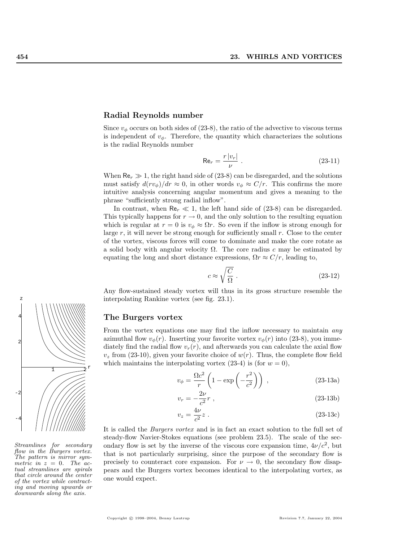#### Radial Reynolds number

Since  $v_{\phi}$  occurs on both sides of (23-8), the ratio of the advective to viscous terms is independent of  $v_{\phi}$ . Therefore, the quantity which characterizes the solutions is the radial Reynolds number

$$
\text{Re}_r = \frac{r \, |v_r|}{\nu} \,. \tag{23-11}
$$

When  $\text{Re}_r \gg 1$ , the right hand side of (23-8) can be disregarded, and the solutions must satisfy  $d(rv_{\phi})/dr \approx 0$ , in other words  $v_{\phi} \approx C/r$ . This confirms the more intuitive analysis concerning angular momentum and gives a meaning to the phrase "sufficiently strong radial inflow".

In contrast, when  $\text{Re}_r \ll 1$ , the left hand side of (23-8) can be disregarded. This typically happens for  $r \to 0$ , and the only solution to the resulting equation which is regular at  $r = 0$  is  $v_{\phi} \approx \Omega r$ . So even if the inflow is strong enough for large  $r$ , it will never be strong enough for sufficiently small  $r$ . Close to the center of the vortex, viscous forces will come to dominate and make the core rotate as a solid body with angular velocity  $\Omega$ . The core radius c may be estimated by equating the long and short distance expressions,  $\Omega r \approx C/r$ , leading to,

$$
c \approx \sqrt{\frac{C}{\Omega}} \ . \tag{23-12}
$$

Any flow-sustained steady vortex will thus in its gross structure resemble the interpolating Rankine vortex (see fig. 23.1).

#### The Burgers vortex

From the vortex equations one may find the inflow necessary to maintain *any* azimuthal flow  $v_{\phi}(r)$ . Inserting your favorite vortex  $v_{\phi}(r)$  into (23-8), you immediately find the radial flow  $v_r(r)$ , and afterwards you can calculate the axial flow  $v<sub>z</sub>$  from (23-10), given your favorite choice of  $w(r)$ . Thus, the complete flow field which maintains the interpolating vortex  $(23-4)$  is (for  $w = 0$ ),

$$
v_{\phi} = \frac{\Omega c^2}{r} \left( 1 - \exp\left( -\frac{r^2}{c^2} \right) \right) , \qquad (23-13a)
$$

$$
v_r = -\frac{2\nu}{c^2}r \t\t(23-13b)
$$

$$
v_z = \frac{4\nu}{c^2}z \ . \tag{23-13c}
$$

It is called the Burgers vortex and is in fact an exact solution to the full set of steady-flow Navier-Stokes equations (see problem 23.5). The scale of the secondary flow is set by the inverse of the viscous core expansion time,  $4\nu/c^2$ , but that is not particularly surprising, since the purpose of the secondary flow is precisely to counteract core expansion. For  $\nu \to 0$ , the secondary flow disappears and the Burgers vortex becomes identical to the interpolating vortex, as one would expect.



Streamlines for secondary flow in the Burgers vortex. The pattern is mirror symmetric in  $z = 0$ . The actual streamlines are spirals that circle around the center of the vortex while contracting and moving upwards or downwards along the axis.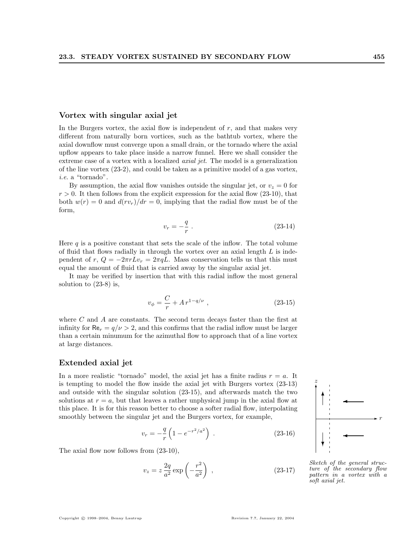#### Vortex with singular axial jet

In the Burgers vortex, the axial flow is independent of  $r$ , and that makes very different from naturally born vortices, such as the bathtub vortex, where the axial downflow must converge upon a small drain, or the tornado where the axial upflow appears to take place inside a narrow funnel. Here we shall consider the extreme case of a vortex with a localized *axial jet*. The model is a generalization of the line vortex (23-2), and could be taken as a primitive model of a gas vortex, i.e. a "tornado".

By assumption, the axial flow vanishes outside the singular jet, or  $v_z = 0$  for  $r > 0$ . It then follows from the explicit expression for the axial flow (23-10), that both  $w(r) = 0$  and  $d(rv_r)/dr = 0$ , implying that the radial flow must be of the form,

$$
v_r = -\frac{q}{r} \ . \tag{23-14}
$$

Here q is a positive constant that sets the scale of the inflow. The total volume of fluid that flows radially in through the vortex over an axial length  $L$  is independent of r,  $Q = -2\pi rLv_r = 2\pi qL$ . Mass conservation tells us that this must equal the amount of fluid that is carried away by the singular axial jet.

It may be verified by insertion that with this radial inflow the most general solution to (23-8) is,

$$
v_{\phi} = \frac{C}{r} + A r^{1-q/\nu} , \qquad (23-15)
$$

where  $C$  and  $A$  are constants. The second term decays faster than the first at infinity for  $\text{Re}_r = q/\nu > 2$ , and this confirms that the radial inflow must be larger than a certain minumum for the azimuthal flow to approach that of a line vortex at large distances.

#### Extended axial jet

In a more realistic "tornado" model, the axial jet has a finite radius  $r = a$ . It is tempting to model the flow inside the axial jet with Burgers vortex (23-13) and outside with the singular solution (23-15), and afterwards match the two solutions at  $r = a$ , but that leaves a rather unphysical jump in the axial flow at this place. It is for this reason better to choose a softer radial flow, interpolating smoothly between the singular jet and the Burgers vortex, for example,

$$
v_r = -\frac{q}{r} \left( 1 - e^{-r^2/a^2} \right) \tag{23-16}
$$

The axial flow now follows from (23-10),

$$
v_z = z \frac{2q}{a^2} \exp\left(-\frac{r^2}{a^2}\right) , \qquad (23-17)
$$



✛

✛

 $\rightarrow$  r

✻ z

✻

 $\mathcal{L}$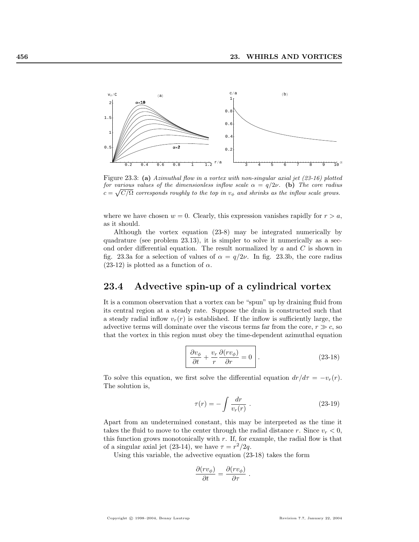

Figure 23.3: (a) Azimuthal flow in a vortex with non-singular axial jet (23-16) plotted for various values of the dimensionless inflow scale  $\alpha = q/2\nu$ . (b) The core radius  $\bar{c} = \sqrt{C/\Omega}$  corresponds roughly to the top in  $v_{\phi}$  and shrinks as the inflow scale grows.

where we have chosen  $w = 0$ . Clearly, this expression vanishes rapidly for  $r > a$ , as it should.

Although the vortex equation (23-8) may be integrated numerically by quadrature (see problem 23.13), it is simpler to solve it numerically as a second order differential equation. The result normalized by  $a$  and  $C$  is shown in fig. 23.3a for a selection of values of  $\alpha = q/2\nu$ . In fig. 23.3b, the core radius (23-12) is plotted as a function of  $\alpha$ .

# 23.4 Advective spin-up of a cylindrical vortex

It is a common observation that a vortex can be "spun" up by draining fluid from its central region at a steady rate. Suppose the drain is constructed such that a steady radial inflow  $v_r(r)$  is established. If the inflow is sufficiently large, the advective terms will dominate over the viscous terms far from the core,  $r \gg c$ , so that the vortex in this region must obey the time-dependent azimuthal equation

$$
\frac{\partial v_{\phi}}{\partial t} + \frac{v_r}{r} \frac{\partial (r v_{\phi})}{\partial r} = 0 \quad . \tag{23-18}
$$

To solve this equation, we first solve the differential equation  $dr/d\tau = -v_r(r)$ . The solution is,

$$
\tau(r) = -\int \frac{dr}{v_r(r)} . \tag{23-19}
$$

Apart from an undetermined constant, this may be interpreted as the time it takes the fluid to move to the center through the radial distance r. Since  $v_r < 0$ , this function grows monotonically with  $r$ . If, for example, the radial flow is that of a singular axial jet (23-14), we have  $\tau = r^2/2q$ .

Using this variable, the advective equation (23-18) takes the form

$$
\frac{\partial (rv_{\phi})}{\partial t} = \frac{\partial (rv_{\phi})}{\partial \tau} .
$$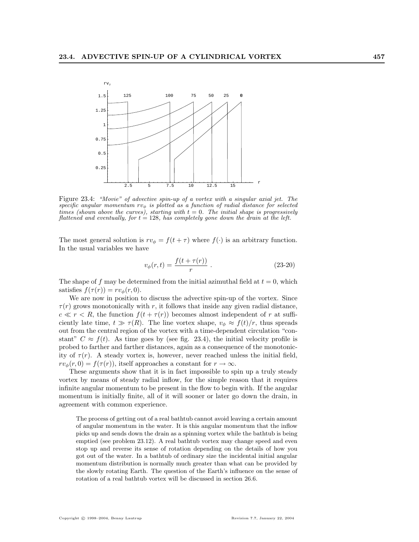

Figure 23.4: "Movie" of advective spin-up of a vortex with a singular axial jet. The specific angular momentum  $rv_{\phi}$  is plotted as a function of radial distance for selected times (shown above the curves), starting with  $t = 0$ . The initial shape is progressively flattened and eventually, for  $t = 128$ , has completely gone down the drain at the left.

The most general solution is  $rv_{\phi} = f(t + \tau)$  where  $f(\cdot)$  is an arbitrary function. In the usual variables we have

$$
v_{\phi}(r,t) = \frac{f(t + \tau(r))}{r} \ . \tag{23-20}
$$

The shape of f may be determined from the initial azimuthal field at  $t = 0$ , which satisfies  $f(\tau(r)) = rv_{\phi}(r, 0)$ .

We are now in position to discuss the advective spin-up of the vortex. Since  $\tau(r)$  grows monotonically with r, it follows that inside any given radial distance,  $c \ll r < R$ , the function  $f(t + \tau(r))$  becomes almost independent of r at sufficiently late time,  $t \gg \tau(R)$ . The line vortex shape,  $v_{\phi} \approx f(t)/r$ , thus spreads out from the central region of the vortex with a time-dependent circulation "constant"  $C \approx f(t)$ . As time goes by (see fig. 23.4), the initial velocity profile is probed to farther and farther distances, again as a consequence of the monotonicity of  $\tau(r)$ . A steady vortex is, however, never reached unless the initial field,  $rv_{\phi}(r, 0) = f(\tau(r))$ , itself approaches a constant for  $r \to \infty$ .

These arguments show that it is in fact impossible to spin up a truly steady vortex by means of steady radial inflow, for the simple reason that it requires infinite angular momentum to be present in the flow to begin with. If the angular momentum is initially finite, all of it will sooner or later go down the drain, in agreement with common experience.

The process of getting out of a real bathtub cannot avoid leaving a certain amount of angular momentum in the water. It is this angular momentum that the inflow picks up and sends down the drain as a spinning vortex while the bathtub is being emptied (see problem 23.12). A real bathtub vortex may change speed and even stop up and reverse its sense of rotation depending on the details of how you got out of the water. In a bathtub of ordinary size the incidental initial angular momentum distribution is normally much greater than what can be provided by the slowly rotating Earth. The question of the Earth's influence on the sense of rotation of a real bathtub vortex will be discussed in section 26.6.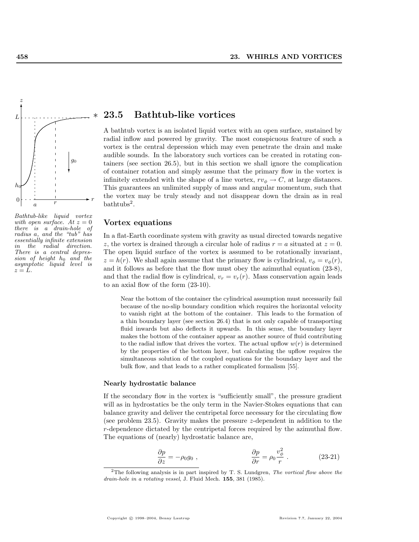

Bathtub-like liquid vortex with open surface. At  $z = 0$ there is a drain-hole of radius a, and the "tub" has essentially infinite extension in the radial direction. There is a central depression of height  $h_0$  and the asymptotic liquid level is  $z = L$ .

## 23.5 Bathtub-like vortices

A bathtub vortex is an isolated liquid vortex with an open surface, sustained by radial inflow and powered by gravity. The most conspicuous feature of such a vortex is the central depression which may even penetrate the drain and make audible sounds. In the laboratory such vortices can be created in rotating containers (see section 26.5), but in this section we shall ignore the complication of container rotation and simply assume that the primary flow in the vortex is infinitely extended with the shape of a line vortex,  $rv_{\phi} \to C$ , at large distances. This guarantees an unlimited supply of mass and angular momentum, such that the vortex may be truly steady and not disappear down the drain as in real bathtubs<sup>2</sup> .

#### Vortex equations

In a flat-Earth coordinate system with gravity as usual directed towards negative z, the vortex is drained through a circular hole of radius  $r = a$  situated at  $z = 0$ . The open liquid surface of the vortex is assumed to be rotationally invariant,  $z = h(r)$ . We shall again assume that the primary flow is cylindrical,  $v_{\phi} = v_{\phi}(r)$ , and it follows as before that the flow must obey the azimuthal equation (23-8), and that the radial flow is cylindrical,  $v_r = v_r(r)$ . Mass conservation again leads to an axial flow of the form (23-10).

Near the bottom of the container the cylindrical assumption must necessarily fail because of the no-slip boundary condition which requires the horizontal velocity to vanish right at the bottom of the container. This leads to the formation of a thin boundary layer (see section 26.4) that is not only capable of transporting fluid inwards but also deflects it upwards. In this sense, the boundary layer makes the bottom of the container appear as another source of fluid contributing to the radial inflow that drives the vortex. The actual upflow  $w(r)$  is determined by the properties of the bottom layer, but calculating the upflow requires the simultaneous solution of the coupled equations for the boundary layer and the bulk flow, and that leads to a rather complicated formalism [55].

#### Nearly hydrostatic balance

If the secondary flow in the vortex is "sufficiently small", the pressure gradient will as in hydrostatics be the only term in the Navier-Stokes equations that can balance gravity and deliver the centripetal force necessary for the circulating flow (see problem 23.5). Gravity makes the pressure z-dependent in addition to the r-dependence dictated by the centripetal forces required by the azimuthal flow. The equations of (nearly) hydrostatic balance are,

$$
\frac{\partial p}{\partial z} = -\rho_0 g_0 , \qquad \qquad \frac{\partial p}{\partial r} = \rho_0 \frac{v_\phi^2}{r} . \qquad (23-21)
$$

<sup>&</sup>lt;sup>2</sup>The following analysis is in part inspired by T. S. Lundgren, *The vortical flow above the* drain-hole in a rotating vessel, J. Fluid Mech. 155, 381 (1985).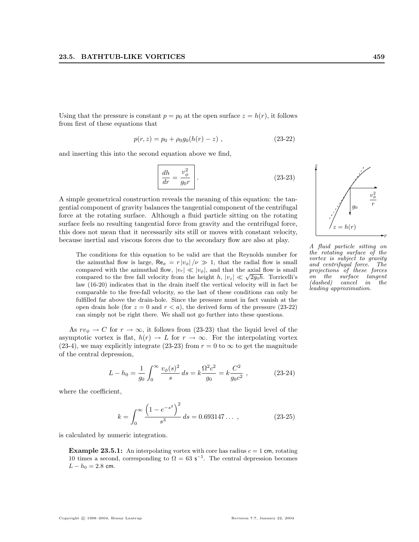Using that the pressure is constant  $p = p_0$  at the open surface  $z = h(r)$ , it follows from first of these equations that

$$
p(r, z) = p_0 + \rho_0 g_0(h(r) - z) , \qquad (23-22)
$$

and inserting this into the second equation above we find,

$$
\frac{dh}{dr} = \frac{v_{\phi}^2}{g_0 r} \quad . \tag{23-23}
$$

A simple geometrical construction reveals the meaning of this equation: the tangential component of gravity balances the tangential component of the centrifugal force at the rotating surface. Although a fluid particle sitting on the rotating surface feels no resulting tangential force from gravity and the centrifugal force, this does not mean that it necessarily sits still or moves with constant velocity, because inertial and viscous forces due to the secondary flow are also at play.

The conditions for this equation to be valid are that the Reynolds number for the azimuthal flow is large,  $\text{Re}_{\phi} = r |v_{\phi}| / \nu \gg 1$ , that the radial flow is small compared with the azimuthal flow,  $|v_r| \ll |v_\phi|$ , and that the axial flow is small compared with the azimuthal how,  $|v_r| \ll |v_\phi|$ , and that the axial how is small<br>compared to the free fall velocity from the height h,  $|v_z| \ll \sqrt{2g_0h}$ . Torricelli's law (16-20) indicates that in the drain itself the vertical velocity will in fact be comparable to the free-fall velocity, so the last of these conditions can only be fulfilled far above the drain-hole. Since the pressure must in fact vanish at the open drain hole (for  $z = 0$  and  $r < a$ ), the derived form of the pressure (23-22) can simply not be right there. We shall not go further into these questions.

As  $rv_{\phi} \to C$  for  $r \to \infty$ , it follows from (23-23) that the liquid level of the asymptotic vortex is flat,  $h(r) \to L$  for  $r \to \infty$ . For the interpolating vortex (23-4), we may explicitly integrate (23-23) from  $r = 0$  to  $\infty$  to get the magnitude of the central depression,

$$
L - h_0 = \frac{1}{g_0} \int_0^\infty \frac{v_\phi(s)^2}{s} ds = k \frac{\Omega^2 c^2}{g_0} = k \frac{C^2}{g_0 c^2} ,\qquad (23-24)
$$

where the coefficient,

$$
k = \int_0^\infty \frac{\left(1 - e^{-s^2}\right)^2}{s^3} ds = 0.693147\dots \,,\tag{23-25}
$$

is calculated by numeric integration.

**Example 23.5.1:** An interpolating vortex with core has radius  $c = 1$  cm, rotating 10 times a second, corresponding to  $\Omega = 63$  s<sup>-1</sup>. The central depression becomes  $L - h_0 = 2.8$  cm.



 $= h(r)$ 

Ë,  $g_0$ 

✻

.

z

 $\rightarrow$ 

 $\rightarrow$ 

v 2 φ r

r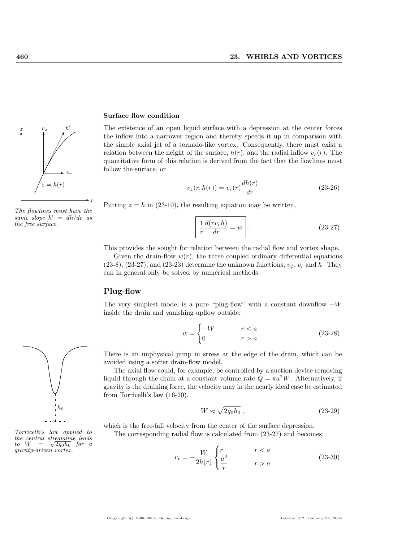

The flowlines must have the same slope  $h' = dh/dr$  as the free surface.



Torricelli's law applied to the central streamline leads the central streamline leads<br>to  $W = \sqrt{2g_0h_0}$  for a gravity-driven vortex.

#### Surface flow condition

The existence of an open liquid surface with a depression at the center forces the inflow into a narrower region and thereby speeds it up in comparison with the simple axial jet of a tornado-like vortex. Consequently, there must exist a relation between the height of the surface,  $h(r)$ , and the radial inflow  $v_r(r)$ . The quantitative form of this relation is derived from the fact that the flowlines must follow the surface, or

$$
v_z(r, h(r)) = v_r(r) \frac{dh(r)}{dr}
$$
\n(23-26)

Putting  $z = h$  in (23-10), the resulting equation may be written,

$$
\frac{1}{r}\frac{d(rv_r h)}{dr} = w
$$
 (23-27)

This provides the sought for relation between the radial flow and vortex shape. Given the drain-flow  $w(r)$ , the three coupled ordinary differential equations  $(23-8)$ ,  $(23-27)$ , and  $(23-23)$  determine the unknown functions,  $v_{\phi}$ ,  $v_r$  and h. They can in general only be solved by numerical methods.

#### Plug-flow

The very simplest model is a pure "plug-flow" with a constant downflow  $-W$ inside the drain and vanishing upflow outside,

$$
w = \begin{cases} -W & r < a \\ 0 & r > a \end{cases} . \tag{23-28}
$$

There is an unphysical jump in stress at the edge of the drain, which can be avoided using a softer drain-flow model.

The axial flow could, for example, be controlled by a suction device removing liquid through the drain at a constant volume rate  $Q = \pi a^2 W$ . Alternatively, if gravity is the draining force, the velocity may in the nearly ideal case be estimated from Torricelli's law (16-20),

$$
W \approx \sqrt{2g_0h_0} \ , \tag{23-29}
$$

which is the free-fall velocity from the center of the surface depression.

The corresponding radial flow is calculated from (23-27) and becomes

$$
v_r = -\frac{W}{2h(r)} \begin{cases} r & r < a \\ \frac{a^2}{r} & r > a \end{cases}
$$
 (23-30)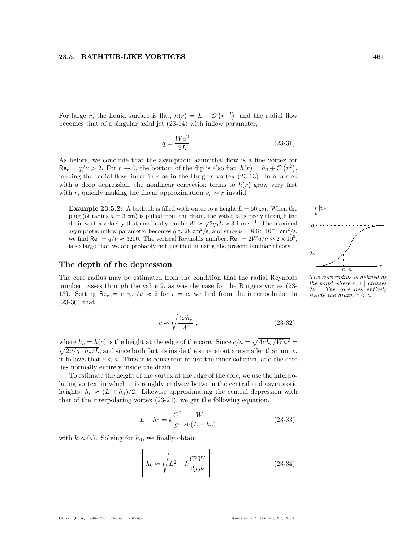For large r, the liquid surface is flat,  $h(r) = L + \mathcal{O}$ ¡  $^{r-2)}$ , and the radial flow becomes that of a singular axial jet (23-14) with inflow parameter,

$$
q = \frac{Wa^2}{2L} \ . \tag{23-31}
$$

As before, we conclude that the asymptotic azimuthal flow is a line vortex for  $\text{Re}_r = q/\nu > 2$ . For  $r \to 0$ , the bottom of the dip is also flat,  $h(r) = h_0 + \mathcal{O}(r^2)$ , making the radial flow linear in  $r$  as in the Burgers vortex (23-13). In a vortex with a deep depression, the nonlinear correction terms to  $h(r)$  grow very fast with r, quickly making the linear approximation  $v_r \sim r$  invalid.

**Example 23.5.2:** A bathtub is filled with water to a height  $L = 50$  cm. When the plug (of radius  $a = 3$  cm) is pulled from the drain, the water falls freely through the plug (or radius  $a = 3$  cm) is pulled from the drain, the water rails freely through the drain with a velocity that maximally can be  $W \approx \sqrt{2g_0L} \approx 3.1 \text{ m s}^{-1}$ . The maximal asymptotic inflow parameter becomes  $q \approx 28 \text{ cm}^2/\text{s}$ , and since  $\nu = 8.6 \times 10^{-3} \text{ cm}^2/\text{s}$ , we find  $\text{Re}_r = q/\nu \approx 3200$ . The vertical Reynolds number,  $\text{Re}_z = 2Wa/\nu \approx 2 \times 10^5$ , is so large that we are probably not justified in using the present laminar theory.

#### The depth of the depression

The core radius may be estimated from the condition that the radial Reynolds number passes through the value 2, as was the case for the Burgers vortex (23- 13). Setting  $\text{Re}_r = r |v_r| / \nu \approx 2$  for  $r = c$ , we find from the inner solution in (23-30) that

$$
c \approx \sqrt{\frac{4\nu h_c}{W}} \; , \eqno(23-32)
$$

where  $h_c = h(c)$  is the height at the edge of the core. Since  $c/a =$ p where  $h_c = h(c)$  is the height at the edge of the core. Since  $c/a = \sqrt{4\nu h_c/Wa^2} =$  $\sqrt{2\nu/q \cdot h_c/L}$ , and since both factors inside the squareroot are smaller than unity, it follows that  $c < a$ . Thus it is consistent to use the inner solution, and the core lies normally entirely inside the drain.

To estimate the height of the vortex at the edge of the core, we use the interpolating vortex, in which it is roughly midway between the central and asymptotic heights,  $h_c \approx (L + h_0)/2$ . Likewise approximating the central depression with that of the interpolating vortex (23-24), we get the following equation,

$$
L - h_0 = k \frac{C^2}{g_0} \frac{W}{2\nu (L + h_0)}
$$
\n(23-33)

with  $k \approx 0.7$ . Solving for  $h_0$ , we finally obtain

$$
h_0 \approx \sqrt{L^2 - k \frac{C^2 W}{2g_0 \nu}}.
$$
 (23-34)



The core radius is defined as the point where  $r |v_r|$  crosses<br>2 $\nu$ . The core lies entirely The core lies entirely inside the drain,  $c < a$ .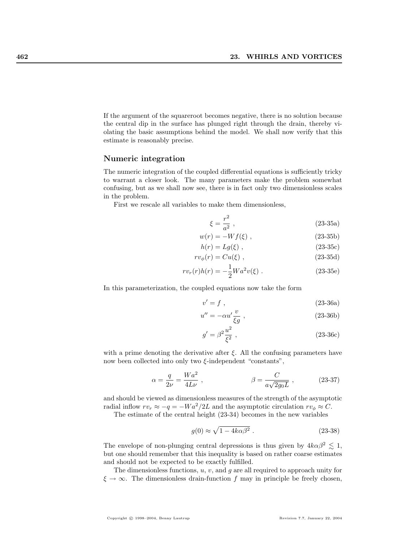If the argument of the squareroot becomes negative, there is no solution because the central dip in the surface has plunged right through the drain, thereby violating the basic assumptions behind the model. We shall now verify that this estimate is reasonably precise.

#### Numeric integration

The numeric integration of the coupled differential equations is sufficiently tricky to warrant a closer look. The many parameters make the problem somewhat confusing, but as we shall now see, there is in fact only two dimensionless scales in the problem.

First we rescale all variables to make them dimensionless,

$$
\xi = \frac{r^2}{a^2} \,,\tag{23-35a}
$$

$$
w(r) = -Wf(\xi) \t{,} \t(23-35b)
$$

$$
h(r) = Lg(\xi) , \qquad (23-35c)
$$

$$
rv_{\phi}(r) = Cu(\xi) , \qquad (23-35d)
$$

$$
rv_r(r)h(r) = -\frac{1}{2}Wa^2v(\xi) .
$$
 (23-35e)

In this parameterization, the coupled equations now take the form

$$
v' = f , \qquad (23-36a)
$$

$$
u'' = -\alpha u' \frac{v}{\xi g} \,,\tag{23-36b}
$$

$$
g' = \beta^2 \frac{u^2}{\xi^2} \,, \tag{23-36c}
$$

with a prime denoting the derivative after  $\xi$ . All the confusing parameters have now been collected into only two  $ξ$ -independent "constants",

$$
\alpha = \frac{q}{2\nu} = \frac{Wa^2}{4L\nu} , \qquad \beta = \frac{C}{a\sqrt{2g_0L}} , \qquad (23-37)
$$

and should be viewed as dimensionless measures of the strength of the asymptotic radial inflow  $rv_r \approx -q = -Wa^2/2L$  and the asymptotic circulation  $rv_{\phi} \approx C$ .

The estimate of the central height (23-34) becomes in the new variables

$$
g(0) \approx \sqrt{1 - 4k\alpha\beta^2} \ . \tag{23-38}
$$

The envelope of non-plunging central depressions is thus given by  $4k\alpha\beta^2 \lesssim 1$ , but one should remember that this inequality is based on rather coarse estimates and should not be expected to be exactly fulfilled.

The dimensionless functions,  $u, v$ , and  $g$  are all required to approach unity for  $\xi \to \infty$ . The dimensionless drain-function f may in principle be freely chosen,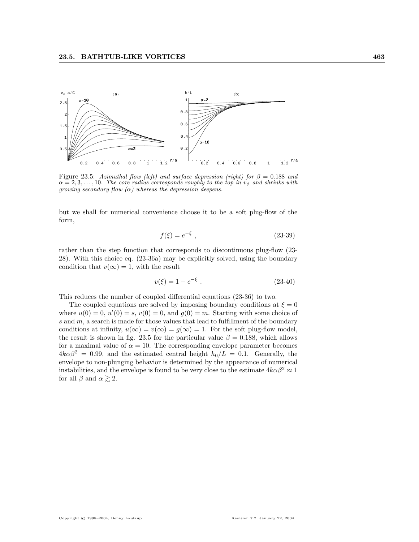

Figure 23.5: Azimuthal flow (left) and surface depression (right) for  $\beta = 0.188$  and  $\alpha = 2, 3, \ldots, 10$ . The core radius corresponds roughly to the top in  $v_{\phi}$  and shrinks with growing secondary flow  $(\alpha)$  whereas the depression deepens.

but we shall for numerical convenience choose it to be a soft plug-flow of the form,

$$
f(\xi) = e^{-\xi} \tag{23-39}
$$

rather than the step function that corresponds to discontinuous plug-flow (23- 28). With this choice eq. (23-36a) may be explicitly solved, using the boundary condition that  $v(\infty) = 1$ , with the result

$$
v(\xi) = 1 - e^{-\xi} \tag{23-40}
$$

This reduces the number of coupled differential equations (23-36) to two.

The coupled equations are solved by imposing boundary conditions at  $\xi = 0$ where  $u(0) = 0$ ,  $u'(0) = s$ ,  $v(0) = 0$ , and  $g(0) = m$ . Starting with some choice of s and  $m$ , a search is made for those values that lead to fulfillment of the boundary conditions at infinity,  $u(\infty) = v(\infty) = g(\infty) = 1$ . For the soft plug-flow model, the result is shown in fig. 23.5 for the particular value  $\beta = 0.188$ , which allows for a maximal value of  $\alpha = 10$ . The corresponding envelope parameter becomes  $4k\alpha\beta^2 = 0.99$ , and the estimated central height  $h_0/L = 0.1$ . Generally, the envelope to non-plunging behavior is determined by the appearance of numerical instabilities, and the envelope is found to be very close to the estimate  $4k\alpha\beta^2 \approx 1$ for all  $\beta$  and  $\alpha \gtrsim 2$ .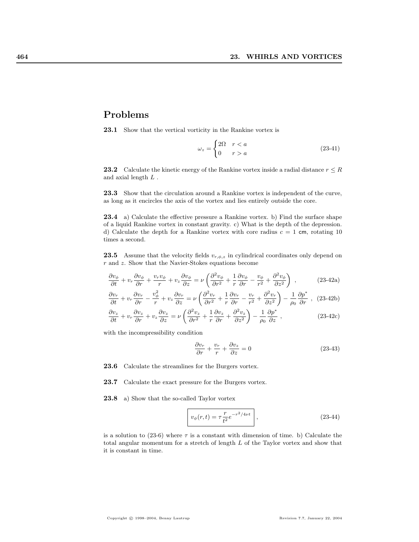# Problems

23.1 Show that the vertical vorticity in the Rankine vortex is

$$
\omega_z = \begin{cases} 2\Omega & r < a \\ 0 & r > a \end{cases}
$$
 (23-41)

23.2 Calculate the kinetic energy of the Rankine vortex inside a radial distance  $r \leq R$ and axial length L .

23.3 Show that the circulation around a Rankine vortex is independent of the curve, as long as it encircles the axis of the vortex and lies entirely outside the core.

23.4 a) Calculate the effective pressure a Rankine vortex. b) Find the surface shape of a liquid Rankine vortex in constant gravity. c) What is the depth of the depression. d) Calculate the depth for a Rankine vortex with core radius  $c = 1$  cm, rotating 10 times a second.

**23.5** Assume that the velocity fields  $v_{r,\phi,z}$  in cylindrical coordinates only depend on  $r$  and  $z$ . Show that the Navier-Stokes equations become

$$
\frac{\partial v_{\phi}}{\partial t} + v_r \frac{\partial v_{\phi}}{\partial r} + \frac{v_r v_{\phi}}{r} + v_z \frac{\partial v_{\phi}}{\partial z} = \nu \left( \frac{\partial^2 v_{\phi}}{\partial r^2} + \frac{1}{r} \frac{\partial v_{\phi}}{\partial r} - \frac{v_{\phi}}{r^2} + \frac{\partial^2 v_{\phi}}{\partial z^2} \right) ,\qquad (23-42a)
$$

$$
\frac{\partial v_r}{\partial t} + v_r \frac{\partial v_r}{\partial r} - \frac{v_\phi^2}{r} + v_z \frac{\partial v_r}{\partial z} = \nu \left( \frac{\partial^2 v_r}{\partial r^2} + \frac{1}{r} \frac{\partial v_r}{\partial r} - \frac{v_r}{r^2} + \frac{\partial^2 v_r}{\partial z^2} \right) - \frac{1}{\rho_0} \frac{\partial p^*}{\partial r} , \quad (23-42b)
$$

$$
\frac{\partial v_z}{\partial t} + v_r \frac{\partial v_z}{\partial r} + v_z \frac{\partial v_z}{\partial z} = \nu \left( \frac{\partial^2 v_z}{\partial r^2} + \frac{1}{r} \frac{\partial v_z}{\partial r} + \frac{\partial^2 v_z}{\partial z^2} \right) - \frac{1}{\rho_0} \frac{\partial p^*}{\partial z} ,
$$
\n(23-42c)

with the incompressibility condition

$$
\frac{\partial v_r}{\partial r} + \frac{v_r}{r} + \frac{\partial v_z}{\partial z} = 0
$$
\n(23-43)

23.6 Calculate the streamlines for the Burgers vortex.

23.7 Calculate the exact pressure for the Burgers vortex.

23.8 a) Show that the so-called Taylor vortex

$$
v_{\phi}(r,t) = \tau \frac{r}{t^2} e^{-r^2/4\nu t} \,, \tag{23-44}
$$

is a solution to (23-6) where  $\tau$  is a constant with dimension of time. b) Calculate the total angular momentum for a stretch of length L of the Taylor vortex and show that it is constant in time.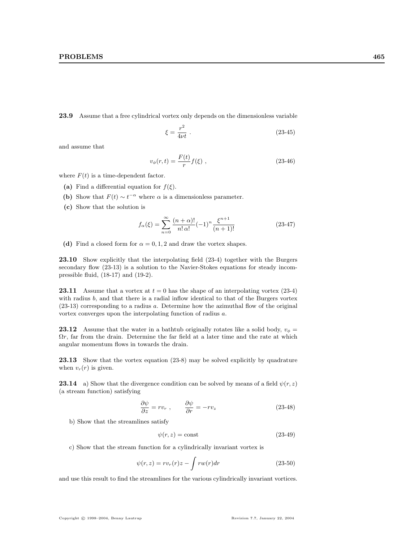23.9 Assume that a free cylindrical vortex only depends on the dimensionless variable

$$
\xi = \frac{r^2}{4\nu t} \tag{23-45}
$$

and assume that

$$
v_{\phi}(r,t) = \frac{F(t)}{r} f(\xi) , \qquad (23-46)
$$

where  $F(t)$  is a time-dependent factor.

- (a) Find a differential equation for  $f(\xi)$ .
- (b) Show that  $F(t) \sim t^{-\alpha}$  where  $\alpha$  is a dimensionless parameter.
- (c) Show that the solution is

$$
f_{\alpha}(\xi) = \sum_{n=0}^{\infty} \frac{(n+\alpha)!}{n!\,\alpha!} (-1)^n \frac{\xi^{n+1}}{(n+1)!}
$$
 (23-47)

(d) Find a closed form for  $\alpha = 0, 1, 2$  and draw the vortex shapes.

23.10 Show explicitly that the interpolating field (23-4) together with the Burgers secondary flow  $(23-13)$  is a solution to the Navier-Stokes equations for steady incompressible fluid, (18-17) and (19-2).

**23.11** Assume that a vortex at  $t = 0$  has the shape of an interpolating vortex (23-4) with radius b, and that there is a radial inflow identical to that of the Burgers vortex (23-13) corresponding to a radius a. Determine how the azimuthal flow of the original vortex converges upon the interpolating function of radius a.

**23.12** Assume that the water in a bathtub originally rotates like a solid body,  $v_{\phi} =$  $\Omega r$ , far from the drain. Determine the far field at a later time and the rate at which angular momentum flows in towards the drain.

23.13 Show that the vortex equation (23-8) may be solved explicitly by quadrature when  $v_r(r)$  is given.

**23.14** a) Show that the divergence condition can be solved by means of a field  $\psi(r, z)$ (a stream function) satisfying

$$
\frac{\partial \psi}{\partial z} = rv_r , \qquad \frac{\partial \psi}{\partial r} = -rv_z
$$
 (23-48)

b) Show that the streamlines satisfy

$$
\psi(r,z) = \text{const} \tag{23-49}
$$

c) Show that the stream function for a cylindrically invariant vortex is

$$
\psi(r,z) = rv_r(r)z - \int rw(r)dr \tag{23-50}
$$

and use this result to find the streamlines for the various cylindrically invariant vortices.